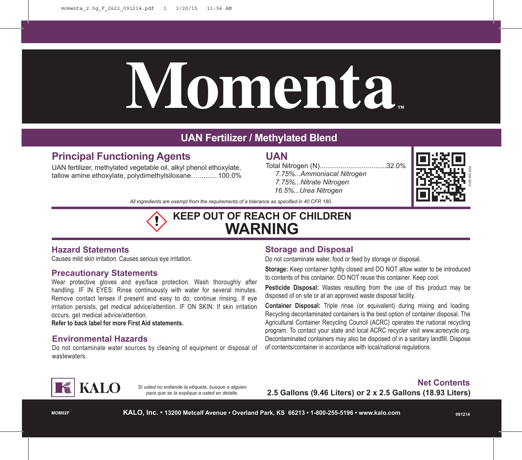# **Momenta™**

# **UAN Fertilizer / Methylated Blend**

# **Principal Functioning Agents**

UAN fertilizer, methylated vegetable oil, alkyl phenol ethoxylate, tallow amine ethoxylate, polydimethylsiloxane….......... 100.0%

# **UAN**

Total Nitrogen (N)...................................32.0%  *7.75%...Ammoniacal Nitrogen 7.75%...Nitrate Nitrogen 16.5%...Urea Nitrogen*



*All ingredients are exempt from the requirements of a tolerance as specified in 40 CFR 180.*

# **KEEP OUT OF REACH OF CHILDREN WARNING**

## **Hazard Statements**

Causes mild skin irritation. Causes serious eye irritation.

### **Precautionary Statements**

Wear protective gloves and eye/face protection. Wash thoroughly after handling. IF IN EYES: Rinse continuously with water for several minutes. Remove contact lenses if present and easy to do; continue rinsing. If eye irritation persists, get medical advice/attention. IF ON SKIN: If skin irritation occurs, get medical advice/attention.

**Refer to back label for more First Aid statements.**

### **Environmental Hazards**

Do not contaminate water sources by cleaning of equipment or disposal of wastewaters.

## **Storage and Disposal**

Do not contaminate water, food or feed by storage or disposal.

**Storage:** Keep container tightly closed and DO NOT allow water to be introduced to contents of this container. DO NOT reuse this container. Keep cool.

**Pesticide Disposal:** Wastes resulting from the use of this product may be disposed of on site or at an approved waste disposal facility.

**Container Disposal:** Triple rinse (or equivalent) during mixing and loading. Recycling decontaminated containers is the best option of container disposal. The Agricultural Container Recycling Council (ACRC) operates the national recycling program. To contact your state and local ACRC recycler visit www.acrecycle.org. Decontaminated containers may also be disposed of in a sanitary landfill. Dispose of contents/container in accordance with local/national regulations.



*Si usted no entiende la etiqueta, busque a alguien para que se la explique a usted en detalle.*

## **Net Contents 2.5 Gallons (9.46 Liters) or 2 x 2.5 Gallons (18.93 Liters)**

**MOM02F**

**KALO, Inc. • 13200 Metcalf Avenue • Overland Park, KS 66213 • 1-800-255-5196 • www.kalo.com**

**091214**